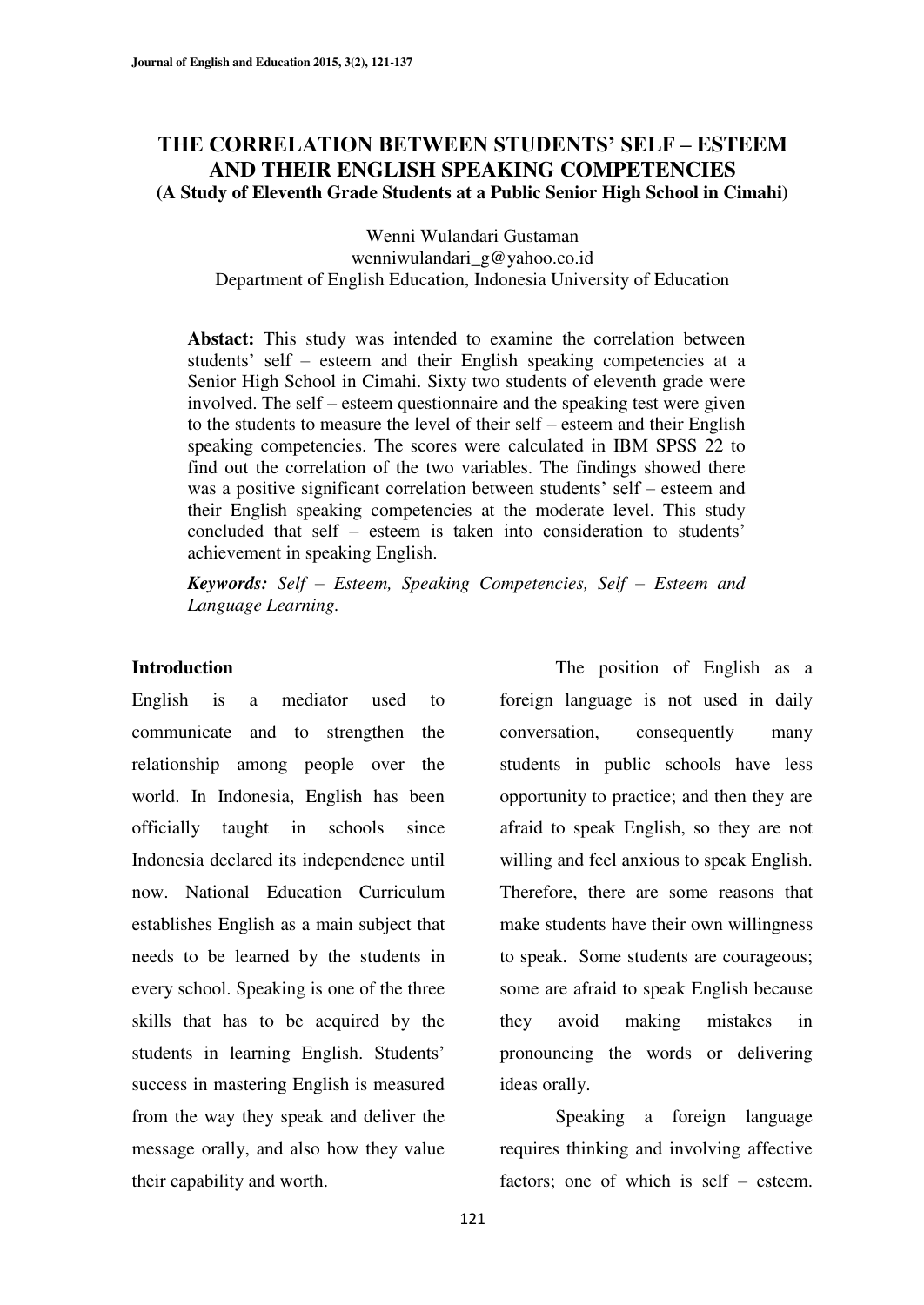## **7HE CORRELATION BETWEEN STUDENTS' SELF - ESTEEM AND THEIR ENGLISH SPEAKING COMPETENCIES (A Study of Eleventh Grade Students at a Public Senior High School in Cimahi)**

Wenni Wulandari Gustaman wenniwulandari\_g@yahoo.co.id Department of English Education, Indonesia University of Education

**Abstact:** This study was intended to examine the correlation between students' self – esteem and their English speaking competencies at a Senior High School in Cimahi. Sixty two students of eleventh grade were involved. The self – esteem questionnaire and the speaking test were given to the students to measure the level of their self  $-$  esteem and their English speaking competencies. The scores were calculated in IBM SPSS 22 to find out the correlation of the two variables. The findings showed there was a positive significant correlation between students' self – esteem and their English speaking competencies at the moderate level. This study concluded that self – esteem is taken into consideration to students' achievement in speaking English.

*Keywords: Self ± Esteem, Speaking Competencies, Self ± Esteem and Language Learning.* 

#### **Introduction**

English is a mediator used to communicate and to strengthen the relationship among people over the world. In Indonesia, English has been officially taught in schools since Indonesia declared its independence until now. National Education Curriculum establishes English as a main subject that needs to be learned by the students in every school. Speaking is one of the three skills that has to be acquired by the students in learning English. Students' success in mastering English is measured from the way they speak and deliver the message orally, and also how they value their capability and worth.

The position of English as a foreign language is not used in daily conversation, consequently many students in public schools have less opportunity to practice; and then they are afraid to speak English, so they are not willing and feel anxious to speak English. Therefore, there are some reasons that make students have their own willingness to speak. Some students are courageous; some are afraid to speak English because they avoid making mistakes in pronouncing the words or delivering ideas orally.

Speaking a foreign language requires thinking and involving affective factors; one of which is self  $-$  esteem.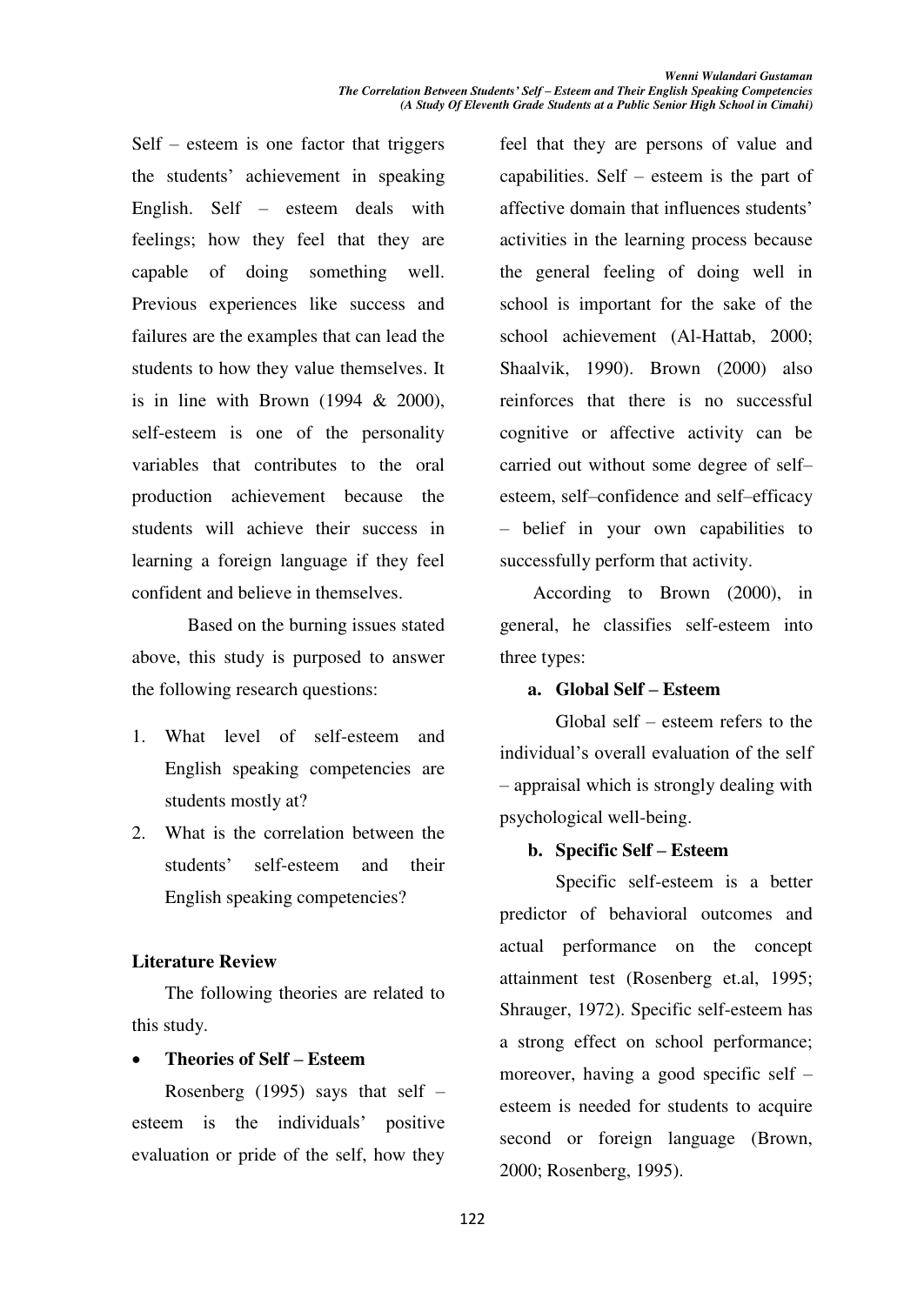Self  $-$  esteem is one factor that triggers the students' achievement in speaking English. Self  $-$  esteem deals with feelings; how they feel that they are capable of doing something well. Previous experiences like success and failures are the examples that can lead the students to how they value themselves. It is in line with Brown  $(1994 \& 2000)$ , self-esteem is one of the personality variables that contributes to the oral production achievement because the students will achieve their success in learning a foreign language if they feel confident and believe in themselves.

Based on the burning issues stated above, this study is purposed to answer the following research questions:

- 1. What level of self-esteem and English speaking competencies are students mostly at?
- 2. What is the correlation between the students' self-esteem and their English speaking competencies?

## **Literature Review**

The following theories are related to this study.

## x **Theories of Self ± Esteem**

Rosenberg (1995) says that self  $-\frac{1}{2}$ esteem is the individuals' positive evaluation or pride of the self, how they feel that they are persons of value and capabilities. Self  $-$  esteem is the part of affective domain that influences students' activities in the learning process because the general feeling of doing well in school is important for the sake of the school achievement (Al-Hattab, 2000; Shaalvik, 1990). Brown (2000) also reinforces that there is no successful cognitive or affective activity can be carried out without some degree of selfesteem, self-confidence and self-efficacy ± belief in your own capabilities to successfully perform that activity.

According to Brown (2000), in general, he classifies self-esteem into three types:

## **a. Global Self ± Esteem**

Global self  $-$  esteem refers to the individual's overall evaluation of the self ± appraisal which is strongly dealing with psychological well-being.

#### **b. Specific Self ± Esteem**

Specific self-esteem is a better predictor of behavioral outcomes and actual performance on the concept attainment test (Rosenberg et.al, 1995; Shrauger, 1972). Specific self-esteem has a strong effect on school performance; moreover, having a good specific self  $-\frac{1}{2}$ esteem is needed for students to acquire second or foreign language (Brown, 2000; Rosenberg, 1995).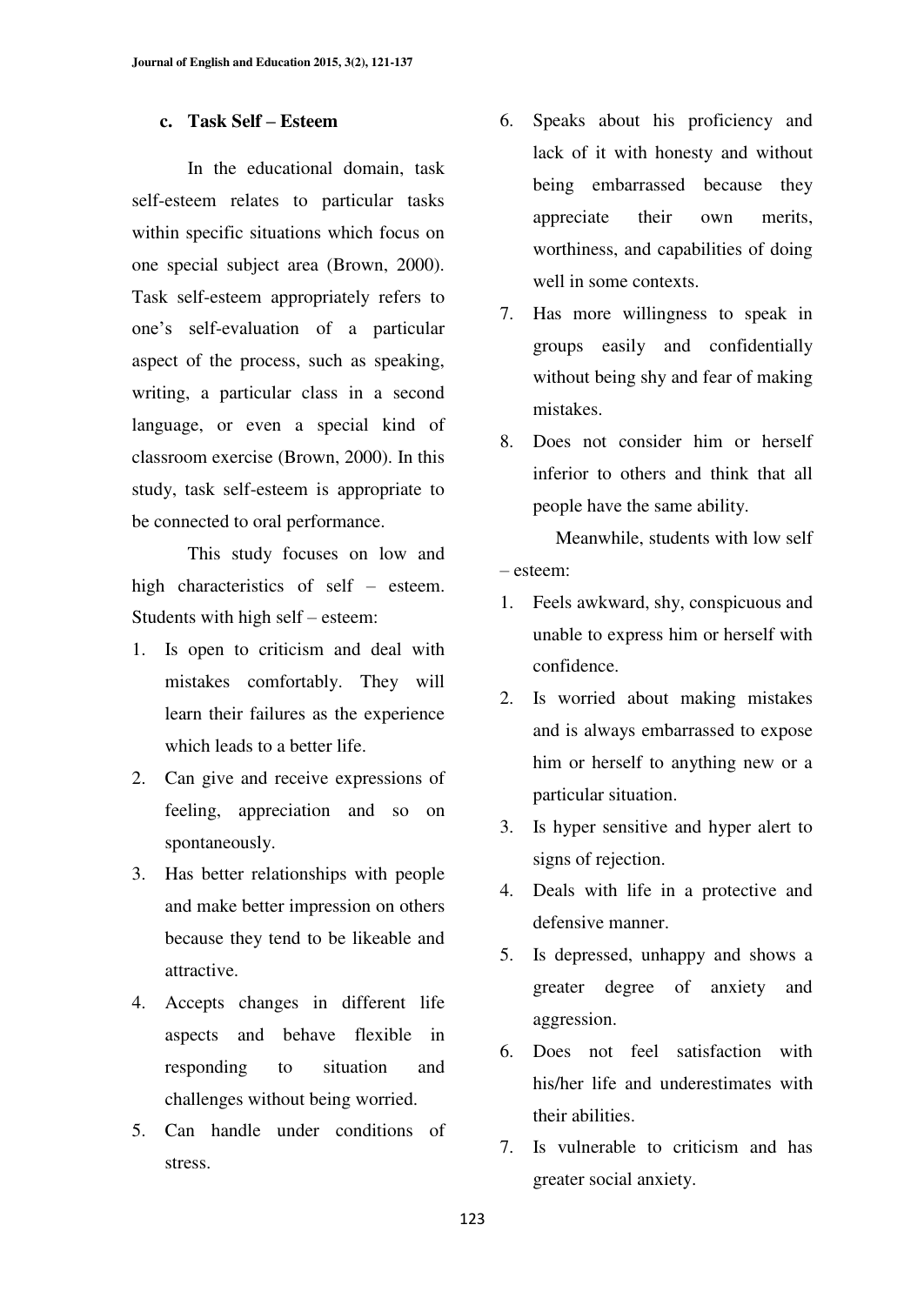#### **c. Task Self ± Esteem**

In the educational domain, task self-esteem relates to particular tasks within specific situations which focus on one special subject area (Brown, 2000). Task self-esteem appropriately refers to one's self-evaluation of a particular aspect of the process, such as speaking, writing, a particular class in a second language, or even a special kind of classroom exercise (Brown, 2000). In this study, task self-esteem is appropriate to be connected to oral performance.

This study focuses on low and high characteristics of self  $-$  esteem. Students with high self  $-$  esteem:

- 1. Is open to criticism and deal with mistakes comfortably. They will learn their failures as the experience which leads to a better life.
- 2. Can give and receive expressions of feeling, appreciation and so on spontaneously.
- 3. Has better relationships with people and make better impression on others because they tend to be likeable and attractive.
- 4. Accepts changes in different life aspects and behave flexible in responding to situation and challenges without being worried.
- 5. Can handle under conditions of stress.
- 6. Speaks about his proficiency and lack of it with honesty and without being embarrassed because they appreciate their own merits, worthiness, and capabilities of doing well in some contexts.
- 7. Has more willingness to speak in groups easily and confidentially without being shy and fear of making mistakes.
- 8. Does not consider him or herself inferior to others and think that all people have the same ability.

Meanwhile, students with low self ± esteem:

- 1. Feels awkward, shy, conspicuous and unable to express him or herself with confidence.
- 2. Is worried about making mistakes and is always embarrassed to expose him or herself to anything new or a particular situation.
- 3. Is hyper sensitive and hyper alert to signs of rejection.
- 4. Deals with life in a protective and defensive manner.
- 5. Is depressed, unhappy and shows a greater degree of anxiety and aggression.
- 6. Does not feel satisfaction with his/her life and underestimates with their abilities.
- 7. Is vulnerable to criticism and has greater social anxiety.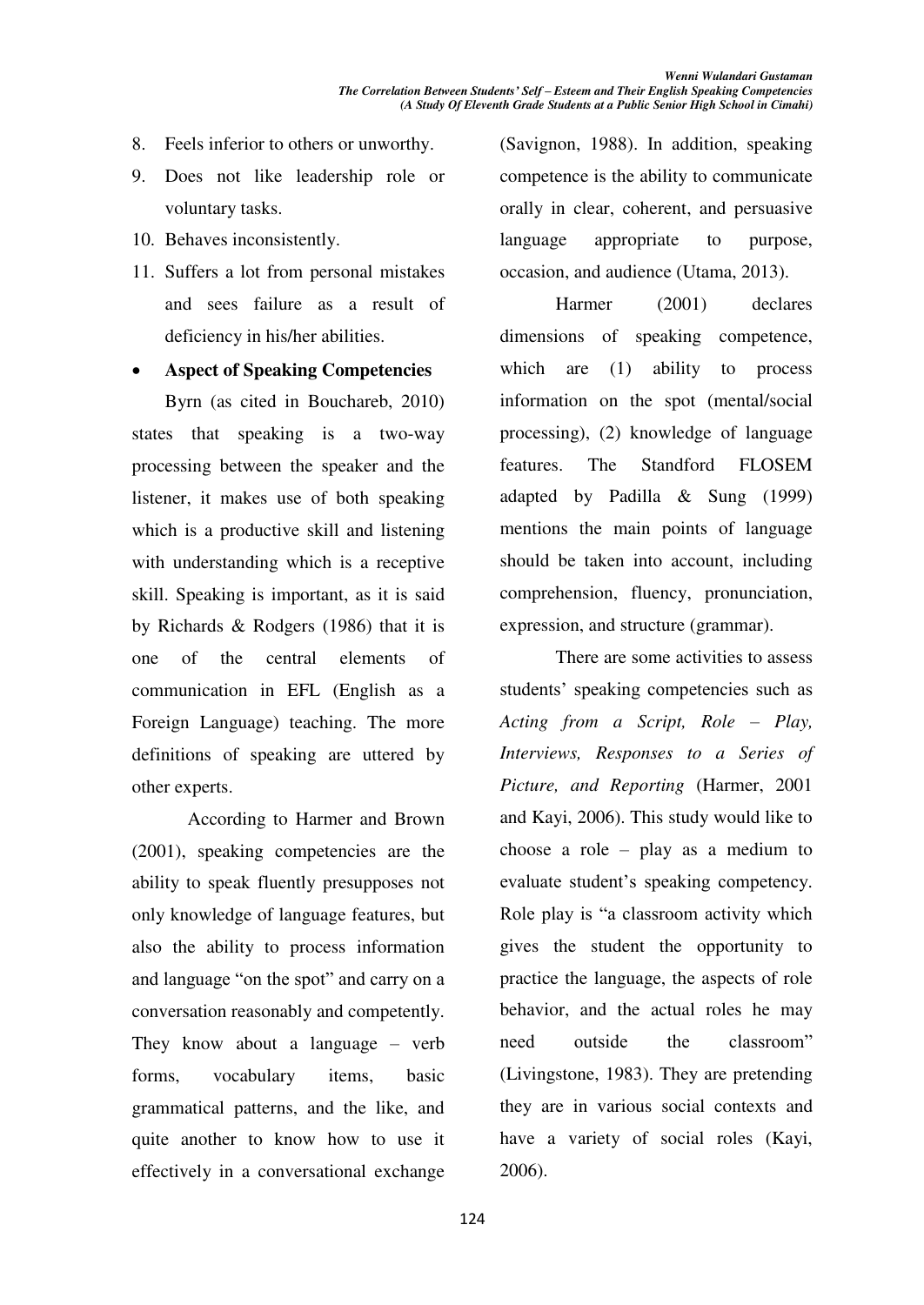- 8. Feels inferior to others or unworthy.
- 9. Does not like leadership role or voluntary tasks.
- 10. Behaves inconsistently.
- 11. Suffers a lot from personal mistakes and sees failure as a result of deficiency in his/her abilities.

x **Aspect of Speaking Competencies** 

Byrn (as cited in Bouchareb, 2010) states that speaking is a two-way processing between the speaker and the listener, it makes use of both speaking which is a productive skill and listening with understanding which is a receptive skill. Speaking is important, as it is said by Richards & Rodgers (1986) that it is one of the central elements of communication in EFL (English as a Foreign Language) teaching. The more definitions of speaking are uttered by other experts.

According to Harmer and Brown (2001), speaking competencies are the ability to speak fluently presupposes not only knowledge of language features, but also the ability to process information and language "on the spot" and carry on a conversation reasonably and competently. They know about a language  $-$  verb forms, vocabulary items, basic grammatical patterns, and the like, and quite another to know how to use it effectively in a conversational exchange

(Savignon, 1988). In addition, speaking competence is the ability to communicate orally in clear, coherent, and persuasive language appropriate to purpose, occasion, and audience (Utama, 2013).

Harmer (2001) declares dimensions of speaking competence, which are (1) ability to process information on the spot (mental/social processing), (2) knowledge of language features. The Standford FLOSEM adapted by Padilla & Sung (1999) mentions the main points of language should be taken into account, including comprehension, fluency, pronunciation, expression, and structure (grammar).

There are some activities to assess students' speaking competencies such as *Acting from a Script, Role ± Play, Interviews, Responses to a Series of Picture, and Reporting* (Harmer, 2001 and Kayi, 2006). This study would like to choose a role  $-$  play as a medium to evaluate student's speaking competency. Role play is "a classroom activity which gives the student the opportunity to practice the language, the aspects of role behavior, and the actual roles he may need outside the classroom" (Livingstone, 1983). They are pretending they are in various social contexts and have a variety of social roles (Kayi, 2006).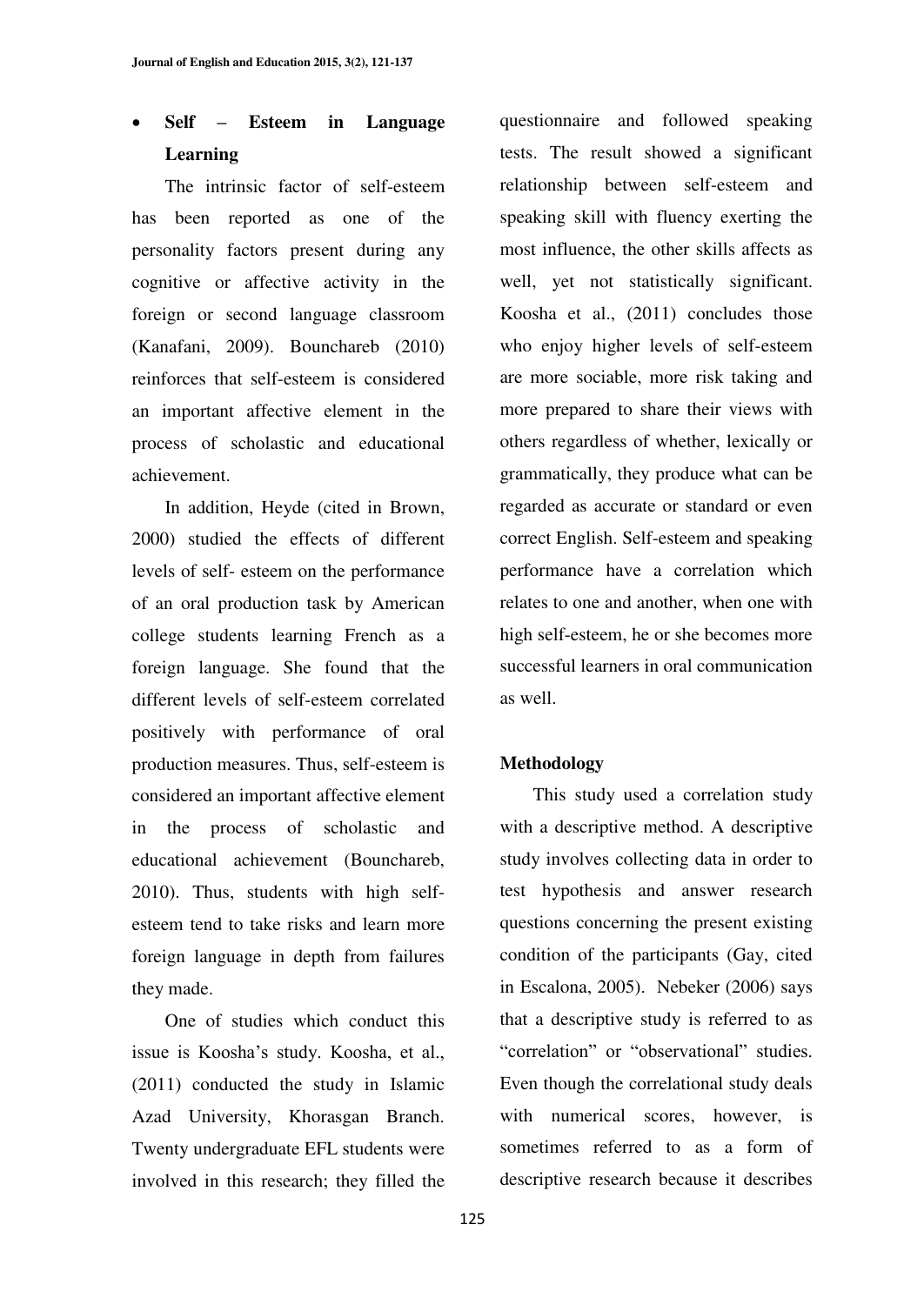# x **Self ± Esteem in Language Learning**

The intrinsic factor of self-esteem has been reported as one of the personality factors present during any cognitive or affective activity in the foreign or second language classroom (Kanafani, 2009). Bounchareb (2010) reinforces that self-esteem is considered an important affective element in the process of scholastic and educational achievement.

In addition, Heyde (cited in Brown, 2000) studied the effects of different levels of self- esteem on the performance of an oral production task by American college students learning French as a foreign language. She found that the different levels of self-esteem correlated positively with performance of oral production measures. Thus, self-esteem is considered an important affective element in the process of scholastic and educational achievement (Bounchareb, 2010). Thus, students with high selfesteem tend to take risks and learn more foreign language in depth from failures they made.

One of studies which conduct this issue is Koosha's study. Koosha, et al., (2011) conducted the study in Islamic Azad University, Khorasgan Branch. Twenty undergraduate EFL students were involved in this research; they filled the

questionnaire and followed speaking tests. The result showed a significant relationship between self-esteem and speaking skill with fluency exerting the most influence, the other skills affects as well, yet not statistically significant. Koosha et al., (2011) concludes those who enjoy higher levels of self-esteem are more sociable, more risk taking and more prepared to share their views with others regardless of whether, lexically or grammatically, they produce what can be regarded as accurate or standard or even correct English. Self-esteem and speaking performance have a correlation which relates to one and another, when one with high self-esteem, he or she becomes more successful learners in oral communication as well.

## **Methodology**

This study used a correlation study with a descriptive method. A descriptive study involves collecting data in order to test hypothesis and answer research questions concerning the present existing condition of the participants (Gay, cited in Escalona, 2005). Nebeker (2006) says that a descriptive study is referred to as "correlation" or "observational" studies. Even though the correlational study deals with numerical scores, however, is sometimes referred to as a form of descriptive research because it describes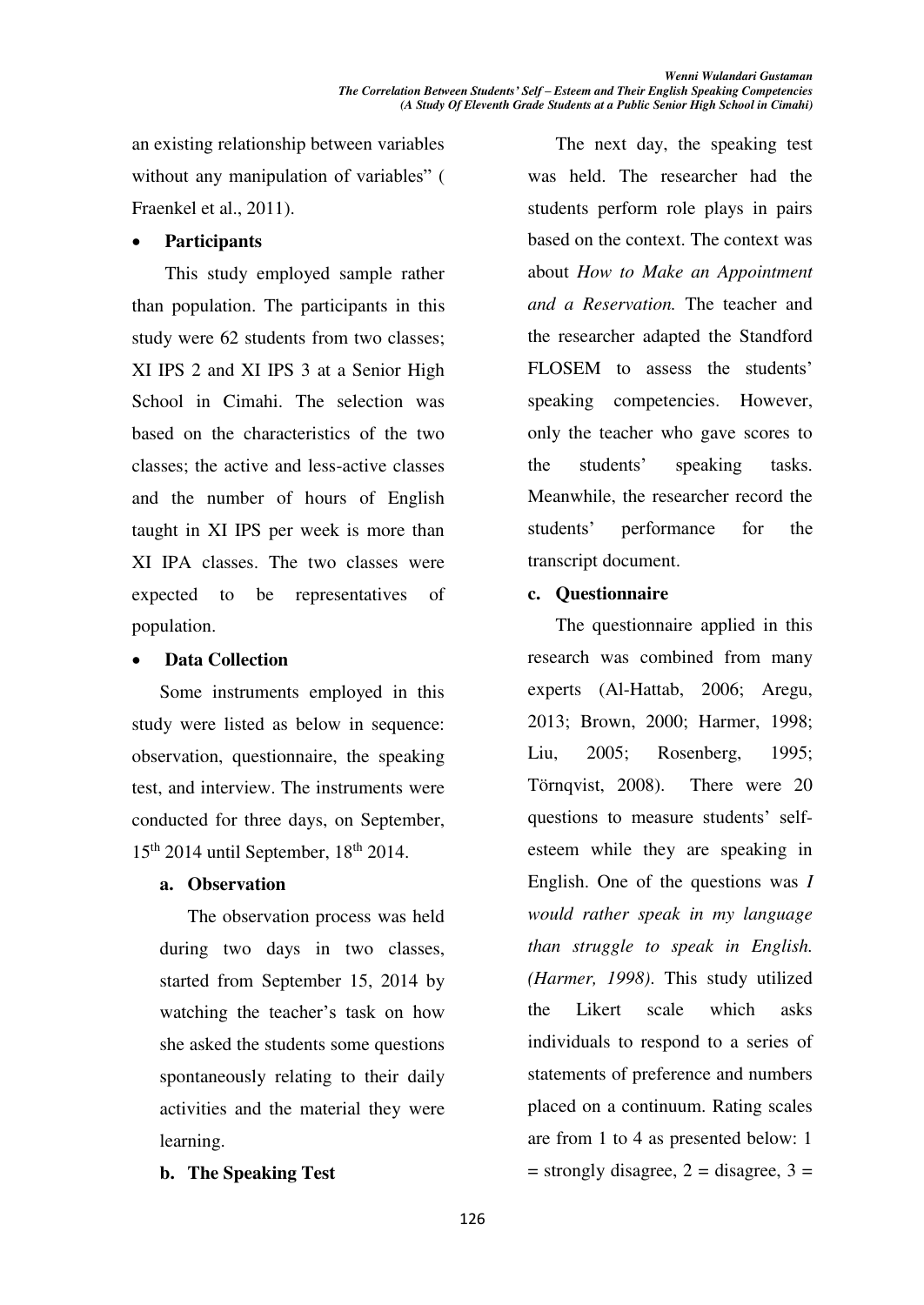an existing relationship between variables without any manipulation of variables" ( Fraenkel et al., 2011).

### x **Participants**

This study employed sample rather than population. The participants in this study were 62 students from two classes; XI IPS 2 and XI IPS 3 at a Senior High School in Cimahi. The selection was based on the characteristics of the two classes; the active and less-active classes and the number of hours of English taught in XI IPS per week is more than XI IPA classes. The two classes were expected to be representatives of population.

#### **Data Collection**

Some instruments employed in this study were listed as below in sequence: observation, questionnaire, the speaking test, and interview. The instruments were conducted for three days, on September,  $15<sup>th</sup>$  2014 until September,  $18<sup>th</sup>$  2014.

## **a. Observation**

The observation process was held during two days in two classes, started from September 15, 2014 by watching the teacher's task on how she asked the students some questions spontaneously relating to their daily activities and the material they were learning.

## **b. The Speaking Test**

The next day, the speaking test was held. The researcher had the students perform role plays in pairs based on the context. The context was about *How to Make an Appointment and a Reservation.* The teacher and the researcher adapted the Standford FLOSEM to assess the students' speaking competencies. However, only the teacher who gave scores to the students' speaking tasks. Meanwhile, the researcher record the students' performance for the transcript document.

## **c. Questionnaire**

The questionnaire applied in this research was combined from many experts (Al-Hattab, 2006; Aregu, 2013; Brown, 2000; Harmer, 1998; Liu, 2005; Rosenberg, 1995; Törnqvist, 2008). There were 20 questions to measure students' selfesteem while they are speaking in English. One of the questions was *I would rather speak in my language than struggle to speak in English. (Harmer, 1998)*. This study utilized the Likert scale which asks individuals to respond to a series of statements of preference and numbers placed on a continuum. Rating scales are from 1 to 4 as presented below: 1  $=$  strongly disagree, 2  $=$  disagree, 3  $=$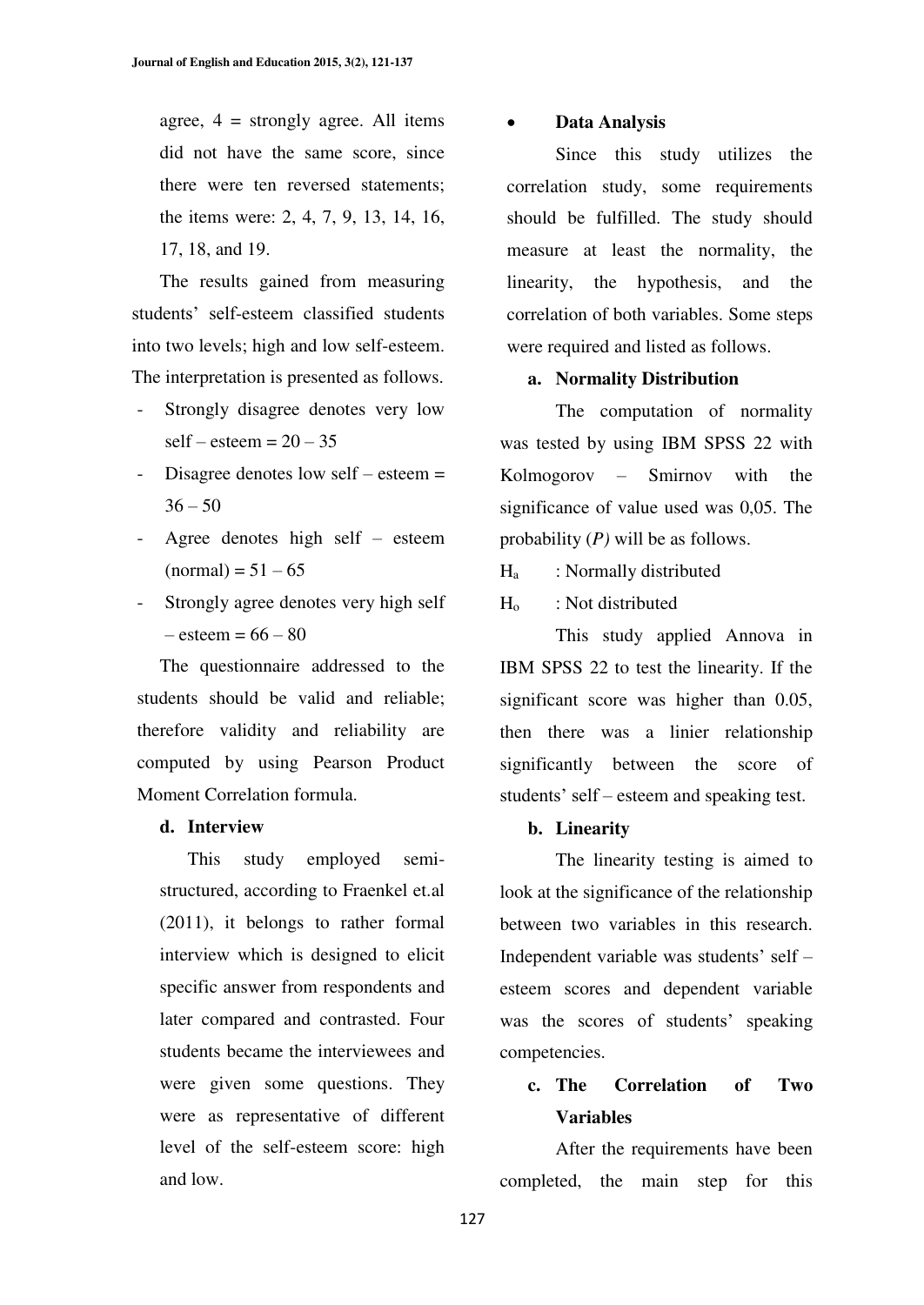agree,  $4 =$  strongly agree. All items did not have the same score, since there were ten reversed statements; the items were: 2, 4, 7, 9, 13, 14, 16, 17, 18, and 19.

The results gained from measuring students' self-esteem classified students into two levels; high and low self-esteem. The interpretation is presented as follows.

- Strongly disagree denotes very low  $self - esteem = 20 - 35$
- Disagree denotes low self  $-\text{esteem} =$  $36 - 50$
- Agree denotes high self  $-$  esteem  $(normal) = 51 - 65$
- Strongly agree denotes very high self  $-$  esteem = 66  $-80$

The questionnaire addressed to the students should be valid and reliable; therefore validity and reliability are computed by using Pearson Product Moment Correlation formula.

#### **d. Interview**

This study employed semistructured, according to Fraenkel et.al (2011), it belongs to rather formal interview which is designed to elicit specific answer from respondents and later compared and contrasted. Four students became the interviewees and were given some questions. They were as representative of different level of the self-esteem score: high and low.

#### x **Data Analysis**

Since this study utilizes the correlation study, some requirements should be fulfilled. The study should measure at least the normality, the linearity, the hypothesis, and the correlation of both variables. Some steps were required and listed as follows.

#### **a. Normality Distribution**

The computation of normality was tested by using IBM SPSS 22 with  $Kolmogorov$  – Smirnov with the significance of value used was 0,05. The probability (*P)* will be as follows.

- $H<sub>a</sub>$  : Normally distributed
- Ho : Not distributed

This study applied Annova in IBM SPSS 22 to test the linearity. If the significant score was higher than 0.05, then there was a linier relationship significantly between the score of students' self – esteem and speaking test.

#### **b. Linearity**

The linearity testing is aimed to look at the significance of the relationship between two variables in this research. Independent variable was students' self esteem scores and dependent variable was the scores of students' speaking competencies.

# **c. The Correlation of Two Variables**

After the requirements have been completed, the main step for this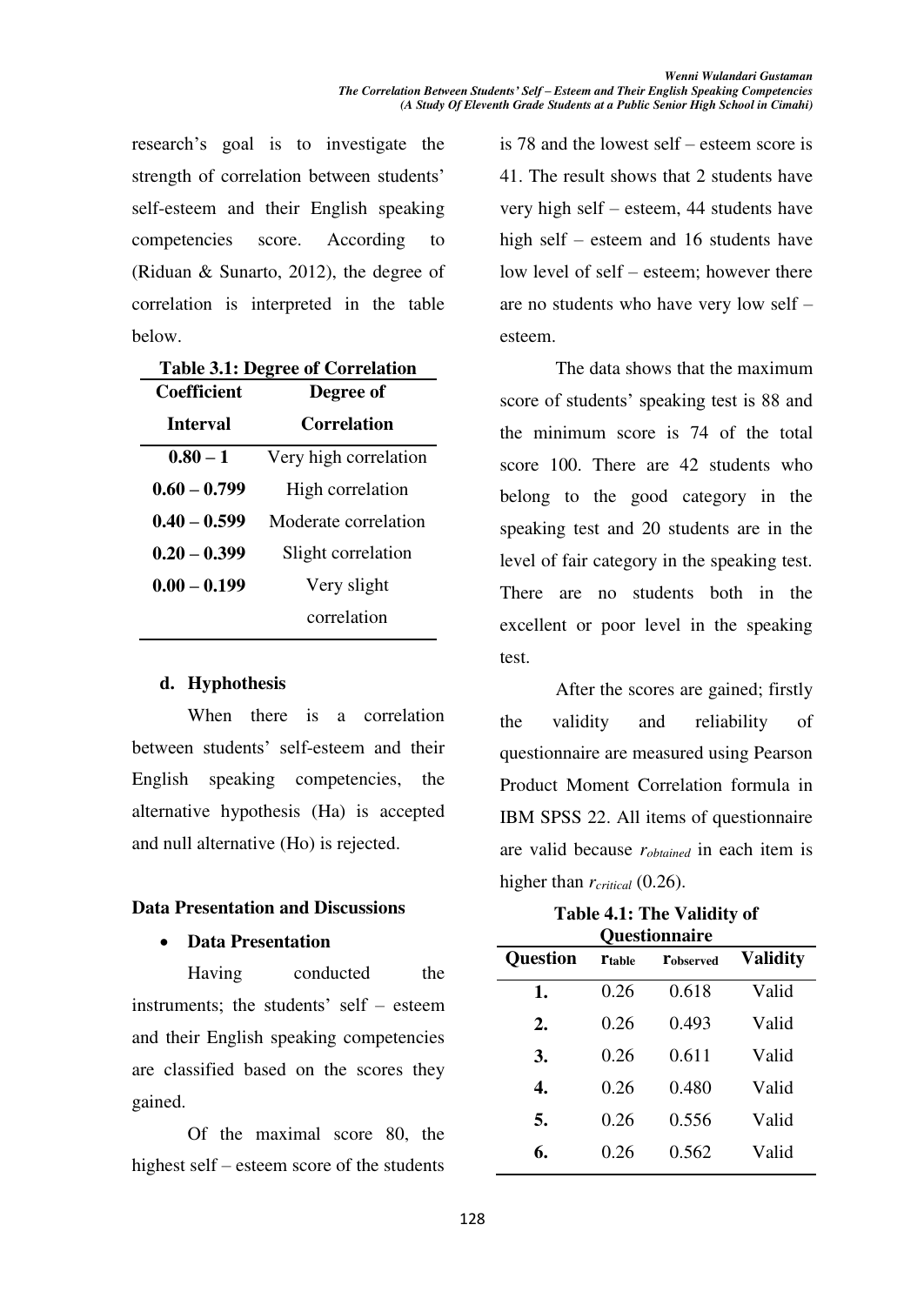research's goal is to investigate the strength of correlation between students' self-esteem and their English speaking competencies score. According to (Riduan & Sunarto, 2012), the degree of correlation is interpreted in the table below.

| <b>Table 3.1: Degree of Correlation</b> |                       |
|-----------------------------------------|-----------------------|
| <b>Coefficient</b>                      | Degree of             |
| Interval                                | Correlation           |
| $0.80 - 1$                              | Very high correlation |
| $0.60 - 0.799$                          | High correlation      |
| $0.40 - 0.599$                          | Moderate correlation  |
| $0.20 - 0.399$                          | Slight correlation    |
| $0.00 - 0.199$                          | Very slight           |
|                                         | correlation           |
|                                         |                       |

## **d. Hyphothesis**

When there is a correlation between students' self-esteem and their English speaking competencies, the alternative hypothesis (Ha) is accepted and null alternative (Ho) is rejected.

## **Data Presentation and Discussions**

## x **Data Presentation**

Having conducted the instruments; the students' self  $-$  esteem and their English speaking competencies are classified based on the scores they gained.

Of the maximal score 80, the highest self – esteem score of the students is 78 and the lowest self  $-$  esteem score is 41. The result shows that 2 students have very high self  $-$  esteem, 44 students have high self  $-$  esteem and 16 students have low level of self – esteem; however there are no students who have very low self  $$ esteem.

The data shows that the maximum score of students' speaking test is 88 and the minimum score is 74 of the total score 100. There are 42 students who belong to the good category in the speaking test and 20 students are in the level of fair category in the speaking test. There are no students both in the excellent or poor level in the speaking test.

After the scores are gained; firstly the validity and reliability of questionnaire are measured using Pearson Product Moment Correlation formula in IBM SPSS 22. All items of questionnaire are valid because *robtained* in each item is higher than *rcritical* (0.26).

**Table 4.1: The Validity of Questionnaire** 

|                 |               | о ислиминист     |                 |
|-----------------|---------------|------------------|-----------------|
| <b>Question</b> | <b>Ttable</b> | <b>Tobserved</b> | <b>Validity</b> |
| 1.              | 0.26          | 0.618            | Valid           |
| 2.              | 0.26          | 0.493            | Valid           |
| 3.              | 0.26          | 0.611            | Valid           |
| 4.              | 0.26          | 0.480            | Valid           |
| 5.              | 0.26          | 0.556            | Valid           |
| 6.              | 0.26          | 0.562            | Valid           |
|                 |               |                  |                 |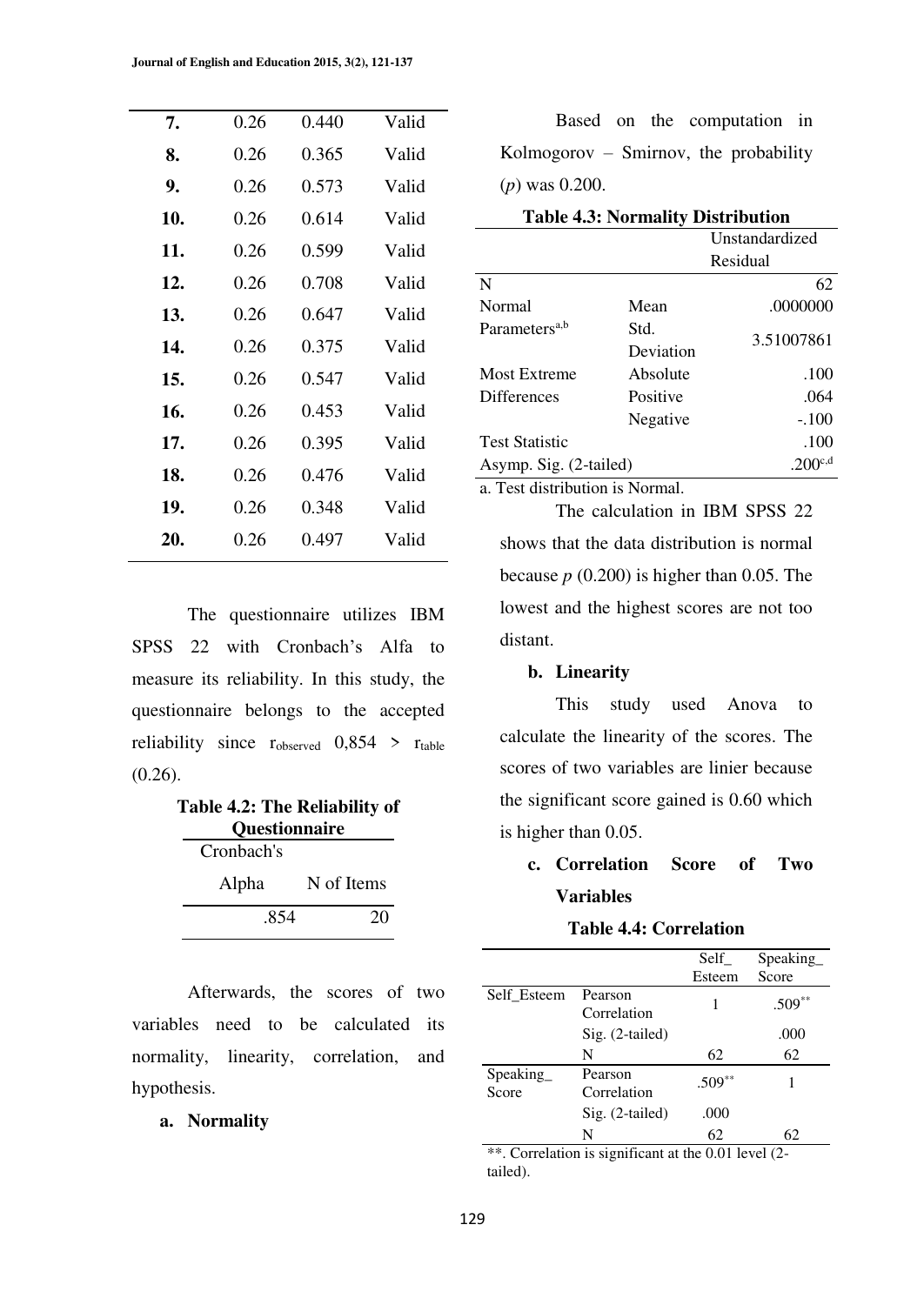| 7.  | 0.26 | 0.440 | Valid |
|-----|------|-------|-------|
| 8.  | 0.26 | 0.365 | Valid |
| 9.  | 0.26 | 0.573 | Valid |
| 10. | 0.26 | 0.614 | Valid |
| 11. | 0.26 | 0.599 | Valid |
| 12. | 0.26 | 0.708 | Valid |
| 13. | 0.26 | 0.647 | Valid |
| 14. | 0.26 | 0.375 | Valid |
| 15. | 0.26 | 0.547 | Valid |
| 16. | 0.26 | 0.453 | Valid |
| 17. | 0.26 | 0.395 | Valid |
| 18. | 0.26 | 0.476 | Valid |
| 19. | 0.26 | 0.348 | Valid |
| 20. | 0.26 | 0.497 | Valid |
|     |      |       |       |

The questionnaire utilizes IBM SPSS 22 with Cronbach's Alfa to measure its reliability. In this study, the questionnaire belongs to the accepted reliability since  $r_{observed}$  0,854 >  $r_{table}$ (0.26).

| <b>Table 4.2: The Reliability of</b><br>Questionnaire |            |            |
|-------------------------------------------------------|------------|------------|
|                                                       | Cronbach's |            |
|                                                       | Alpha      | N of Items |
|                                                       | .854       | 20         |

 Afterwards, the scores of two variables need to be calculated its normality, linearity, correlation, and hypothesis.

#### **a. Normality**

Based on the computation in Kolmogorov  $-$  Smirnov, the probability (*p*) was 0.200.

| <b>Table 4.3: Normality Distribution</b> |           |                |
|------------------------------------------|-----------|----------------|
|                                          |           | Unstandardized |
|                                          |           | Residual       |
| N                                        |           | 62             |
| Normal                                   | Mean      | .0000000       |
| Parameters <sup>a,b</sup>                | Std.      | 3.51007861     |
|                                          | Deviation |                |
| <b>Most Extreme</b>                      | Absolute  | .100           |
| <b>Differences</b>                       | Positive  | .064           |
|                                          | Negative  | $-.100$        |
| <b>Test Statistic</b>                    |           | .100           |
| Asymp. Sig. (2-tailed)                   |           | $.200^{c,d}$   |

a. Test distribution is Normal.

shows that the data distribution is normal because *p* (0.200) is higher than 0.05. The lowest and the highest scores are not too distant.

The calculation in IBM SPSS 22

#### **b. Linearity**

This study used Anova to calculate the linearity of the scores. The scores of two variables are linier because the significant score gained is 0.60 which is higher than 0.05.

# **c. Correlation Score of Two Variables**

## **Table 4.4: Correlation**

|                   |                        | Self     | Speaking |
|-------------------|------------------------|----------|----------|
|                   |                        | Esteem   | Score    |
| Self Esteem       | Pearson<br>Correlation | 1        | $.509**$ |
|                   | Sig. (2-tailed)        |          | .000     |
|                   | N                      | 62       | 62       |
| Speaking<br>Score | Pearson<br>Correlation | $.509**$ |          |
|                   | $Sig. (2-tailed)$      | .000     |          |
|                   | N                      | 62       | 62       |

\*\*. Correlation is significant at the 0.01 level (2tailed).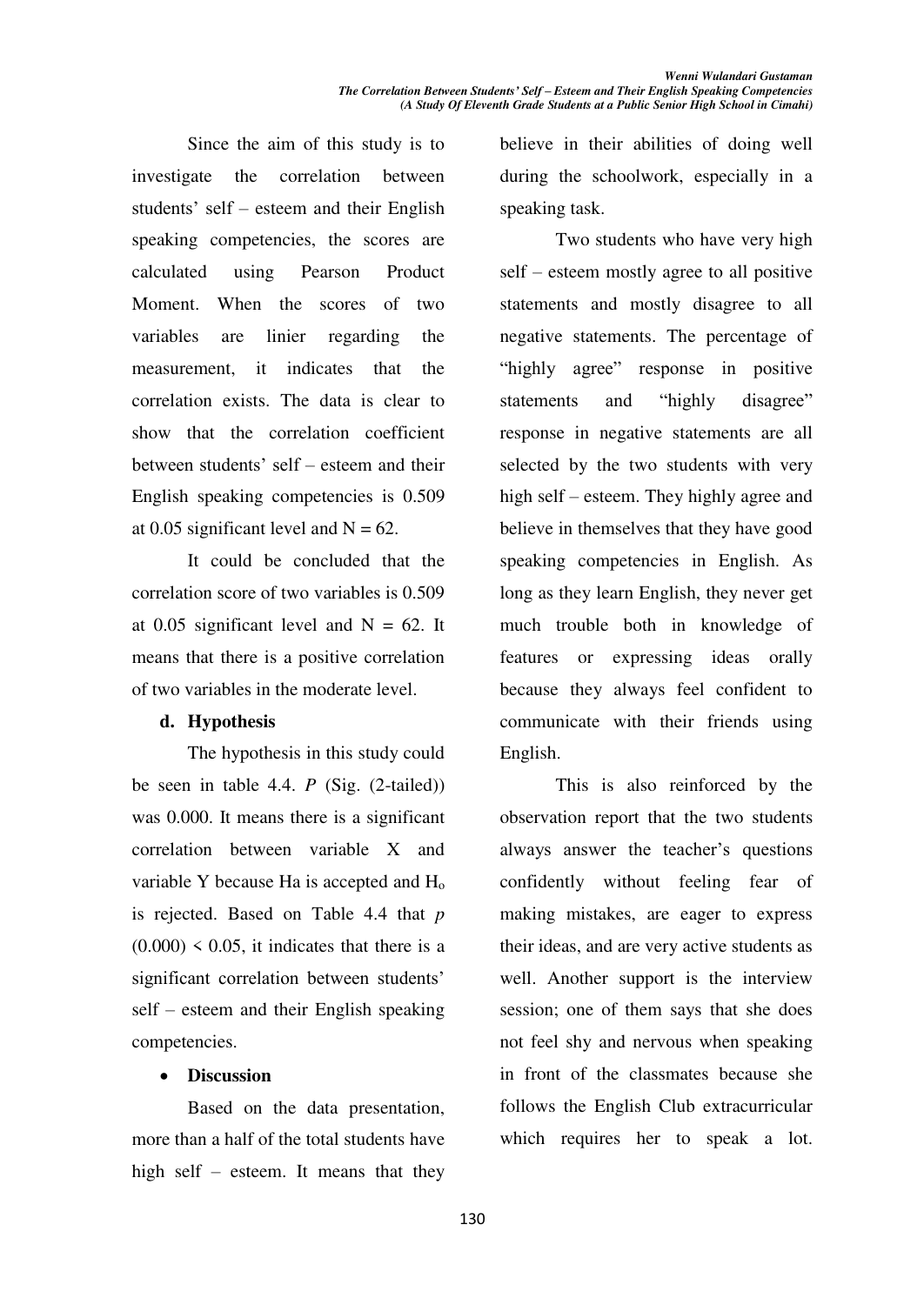Since the aim of this study is to investigate the correlation between students' self – esteem and their English speaking competencies, the scores are calculated using Pearson Product Moment. When the scores of two variables are linier regarding the measurement, it indicates that the correlation exists. The data is clear to show that the correlation coefficient between students' self – esteem and their English speaking competencies is 0.509 at 0.05 significant level and  $N = 62$ .

It could be concluded that the correlation score of two variables is 0.509 at 0.05 significant level and  $N = 62$ . It means that there is a positive correlation of two variables in the moderate level.

#### **d. Hypothesis**

The hypothesis in this study could be seen in table 4.4. *P* (Sig. (2-tailed)) was 0.000. It means there is a significant correlation between variable X and variable Y because Ha is accepted and H<sup>o</sup> is rejected. Based on Table 4.4 that *p*   $(0.000)$  < 0.05, it indicates that there is a significant correlation between students'  $self - esteem$  and their English speaking competencies.

## **•** Discussion

Based on the data presentation, more than a half of the total students have high self  $-$  esteem. It means that they

believe in their abilities of doing well during the schoolwork, especially in a speaking task.

Two students who have very high  $self - esteem mostly agree to all positive$ statements and mostly disagree to all negative statements. The percentage of "highly agree" response in positive statements and "highly disagree" response in negative statements are all selected by the two students with very high self – esteem. They highly agree and believe in themselves that they have good speaking competencies in English. As long as they learn English, they never get much trouble both in knowledge of features or expressing ideas orally because they always feel confident to communicate with their friends using English.

This is also reinforced by the observation report that the two students always answer the teacher's questions confidently without feeling fear of making mistakes, are eager to express their ideas, and are very active students as well. Another support is the interview session; one of them says that she does not feel shy and nervous when speaking in front of the classmates because she follows the English Club extracurricular which requires her to speak a lot.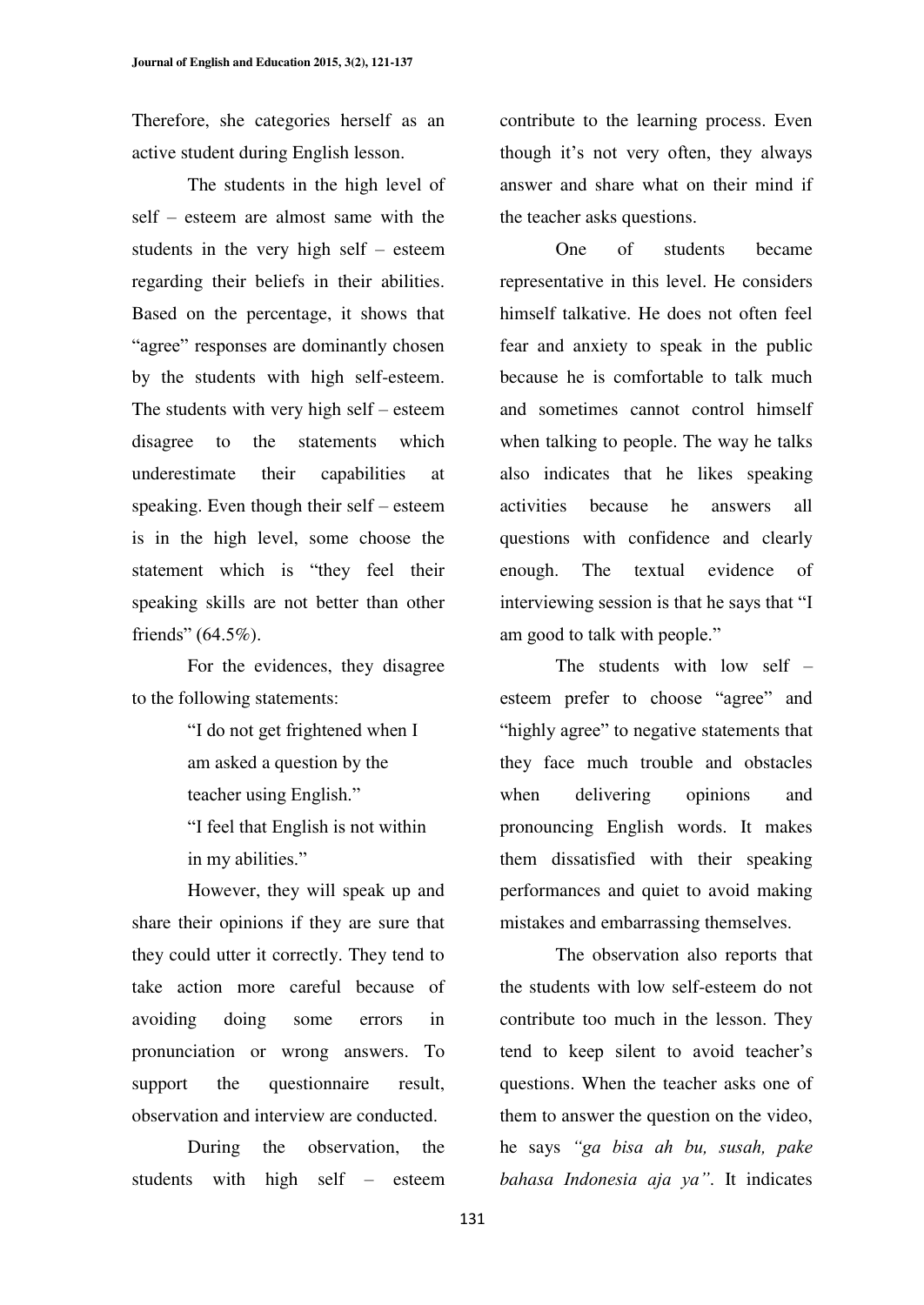Therefore, she categories herself as an active student during English lesson.

 The students in the high level of self – esteem are almost same with the students in the very high self  $-$  esteem regarding their beliefs in their abilities. Based on the percentage, it shows that "agree" responses are dominantly chosen by the students with high self-esteem. The students with very high self  $-$  esteem disagree to the statements which underestimate their capabilities at speaking. Even though their self  $-$  esteem is in the high level, some choose the statement which is "they feel their speaking skills are not better than other friends"  $(64.5\%)$ .

For the evidences, they disagree to the following statements:

> "I do not get frightened when I am asked a question by the teacher using English." "I feel that English is not within

in my abilities."

However, they will speak up and share their opinions if they are sure that they could utter it correctly. They tend to take action more careful because of avoiding doing some errors in pronunciation or wrong answers. To support the questionnaire result, observation and interview are conducted.

During the observation, the students with high self  $-$  esteem contribute to the learning process. Even though it's not very often, they always answer and share what on their mind if the teacher asks questions.

One of students became representative in this level. He considers himself talkative. He does not often feel fear and anxiety to speak in the public because he is comfortable to talk much and sometimes cannot control himself when talking to people. The way he talks also indicates that he likes speaking activities because he answers all questions with confidence and clearly enough. The textual evidence of interviewing session is that he says that "I am good to talk with people."

The students with low self  $$ esteem prefer to choose "agree" and "highly agree" to negative statements that they face much trouble and obstacles when delivering opinions and pronouncing English words. It makes them dissatisfied with their speaking performances and quiet to avoid making mistakes and embarrassing themselves.

The observation also reports that the students with low self-esteem do not contribute too much in the lesson. They tend to keep silent to avoid teacher's questions. When the teacher asks one of them to answer the question on the video, he says "ga bisa ah bu, susah, pake *bahasa Indonesia aja va*". It indicates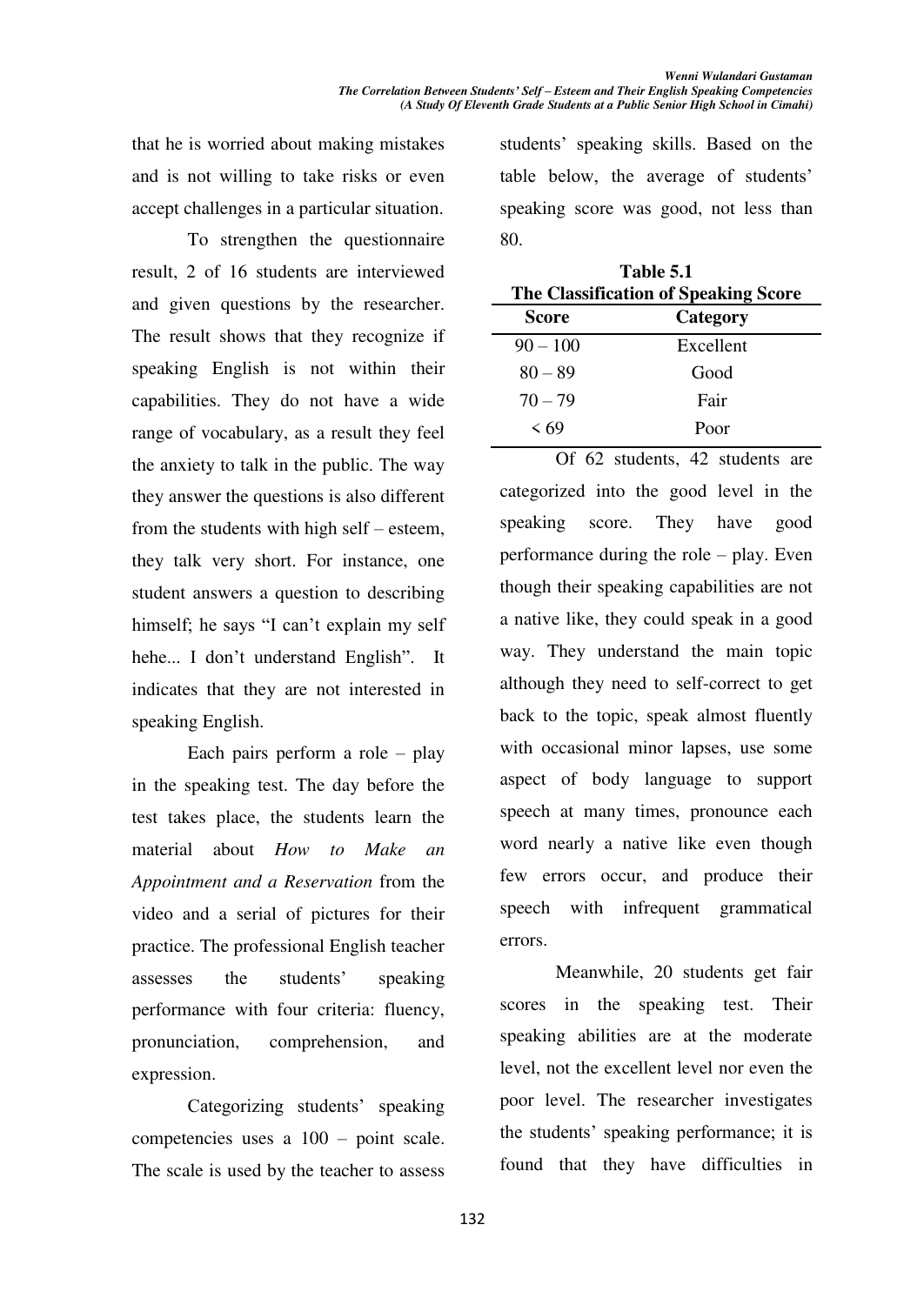that he is worried about making mistakes and is not willing to take risks or even accept challenges in a particular situation.

To strengthen the questionnaire result, 2 of 16 students are interviewed and given questions by the researcher. The result shows that they recognize if speaking English is not within their capabilities. They do not have a wide range of vocabulary, as a result they feel the anxiety to talk in the public. The way they answer the questions is also different from the students with high self  $-$  esteem, they talk very short. For instance, one student answers a question to describing himself; he says "I can't explain my self hehe... I don't understand English". It indicates that they are not interested in speaking English.

Each pairs perform a role  $-$  play in the speaking test. The day before the test takes place, the students learn the material about *How to Make an Appointment and a Reservation* from the video and a serial of pictures for their practice. The professional English teacher assesses the students' speaking performance with four criteria: fluency, pronunciation, comprehension, and expression.

Categorizing students' speaking competencies uses a  $100 - point$  scale. The scale is used by the teacher to assess students' speaking skills. Based on the table below, the average of students' speaking score was good, not less than 80.

| Table 5.1<br>The Classification of Speaking Score |           |  |
|---------------------------------------------------|-----------|--|
| Score                                             | Category  |  |
| $90 - 100$                                        | Excellent |  |
| $80 - 89$                                         | Good      |  |
| $70 - 79$                                         | Fair      |  |
| $\leq 69$                                         | Poor      |  |

Of 62 students, 42 students are categorized into the good level in the speaking score. They have good performance during the role  $-\text{play}$ . Even though their speaking capabilities are not a native like, they could speak in a good way. They understand the main topic although they need to self-correct to get back to the topic, speak almost fluently with occasional minor lapses, use some aspect of body language to support speech at many times, pronounce each word nearly a native like even though few errors occur, and produce their speech with infrequent grammatical errors.

Meanwhile, 20 students get fair scores in the speaking test. Their speaking abilities are at the moderate level, not the excellent level nor even the poor level. The researcher investigates the students' speaking performance; it is found that they have difficulties in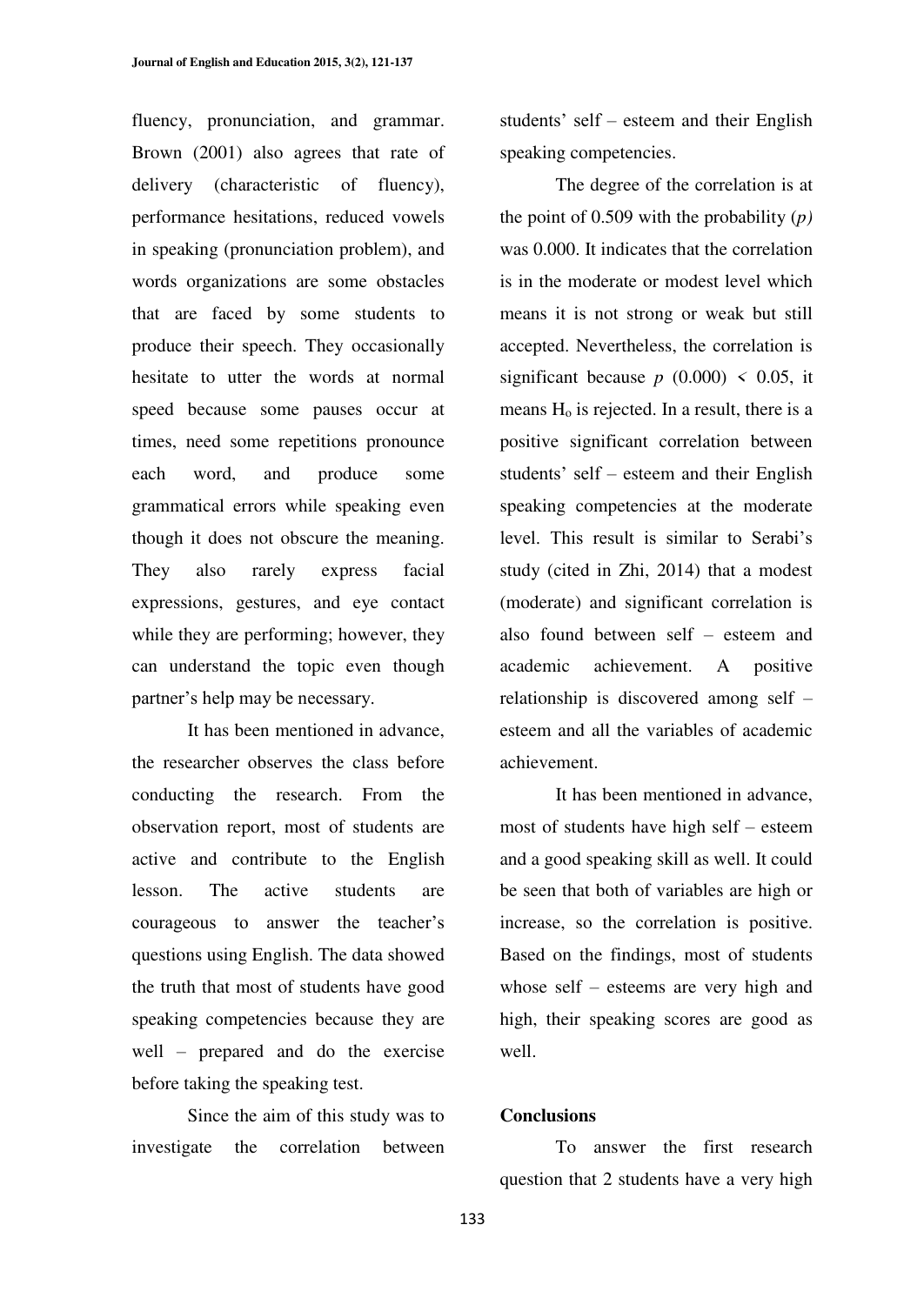fluency, pronunciation, and grammar. Brown (2001) also agrees that rate of delivery (characteristic of fluency), performance hesitations, reduced vowels in speaking (pronunciation problem), and words organizations are some obstacles that are faced by some students to produce their speech. They occasionally hesitate to utter the words at normal speed because some pauses occur at times, need some repetitions pronounce each word, and produce some grammatical errors while speaking even though it does not obscure the meaning. They also rarely express facial expressions, gestures, and eye contact while they are performing; however, they can understand the topic even though partner's help may be necessary.

It has been mentioned in advance, the researcher observes the class before conducting the research. From the observation report, most of students are active and contribute to the English lesson. The active students are courageous to answer the teacher's questions using English. The data showed the truth that most of students have good speaking competencies because they are well  $-$  prepared and do the exercise before taking the speaking test.

Since the aim of this study was to investigate the correlation between students' self  $-$  esteem and their English speaking competencies.

The degree of the correlation is at the point of 0.509 with the probability (*p)* was 0.000. It indicates that the correlation is in the moderate or modest level which means it is not strong or weak but still accepted. Nevertheless, the correlation is significant because  $p(0.000) < 0.05$ , it means  $H<sub>o</sub>$  is rejected. In a result, there is a positive significant correlation between students' self - esteem and their English speaking competencies at the moderate level. This result is similar to Serabi's study (cited in Zhi, 2014) that a modest (moderate) and significant correlation is also found between self - esteem and academic achievement. A positive relationship is discovered among self  $$ esteem and all the variables of academic achievement.

It has been mentioned in advance, most of students have high self  $-$  esteem and a good speaking skill as well. It could be seen that both of variables are high or increase, so the correlation is positive. Based on the findings, most of students whose self  $-$  esteems are very high and high, their speaking scores are good as well.

#### **Conclusions**

To answer the first research question that 2 students have a very high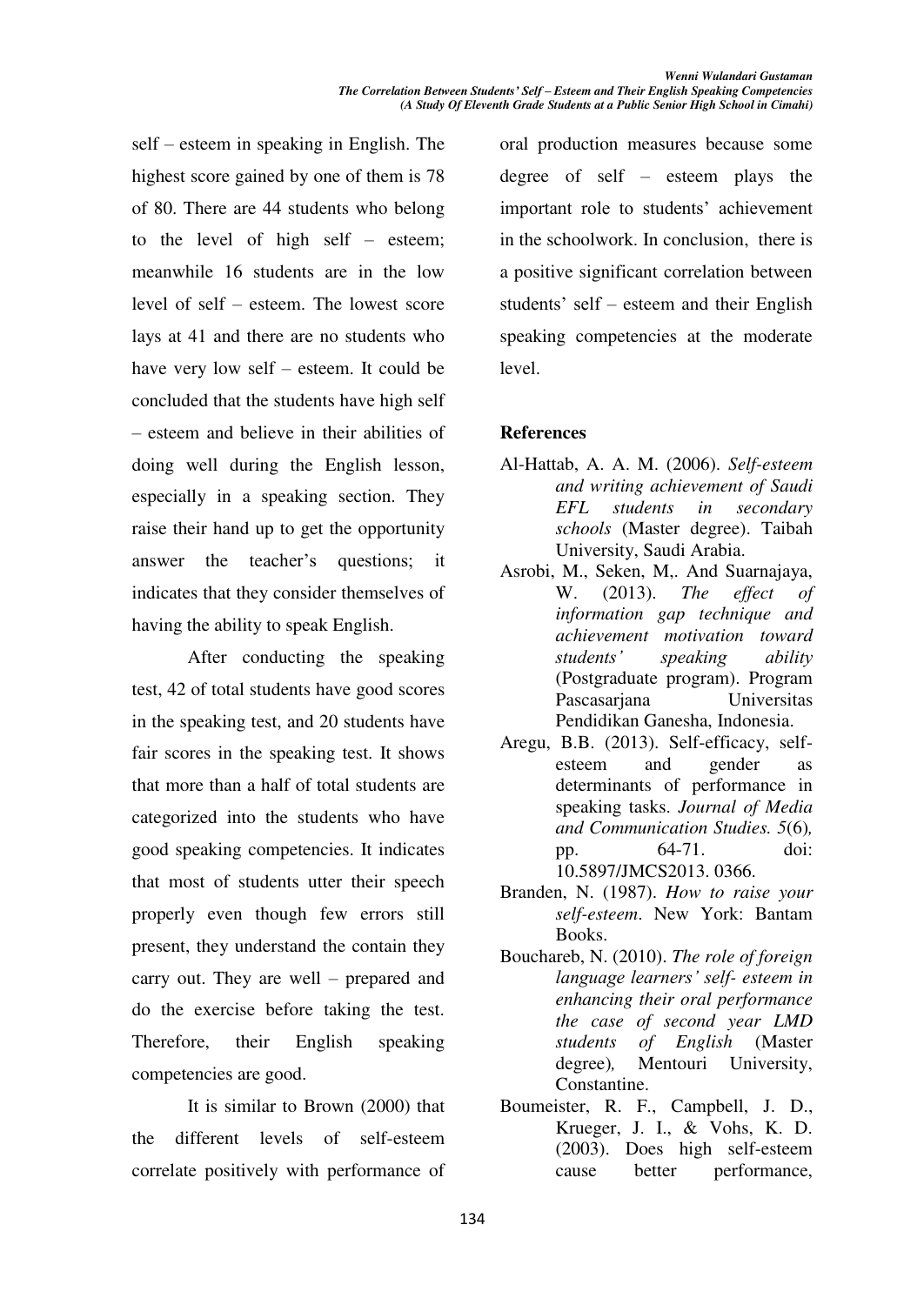$self - esteem$  in speaking in English. The highest score gained by one of them is 78 of 80. There are 44 students who belong to the level of high self  $-$  esteem; meanwhile 16 students are in the low level of self  $-$  esteem. The lowest score lays at 41 and there are no students who have very low self  $-$  esteem. It could be concluded that the students have high self ± esteem and believe in their abilities of doing well during the English lesson, especially in a speaking section. They raise their hand up to get the opportunity answer the teacher's questions; it indicates that they consider themselves of having the ability to speak English.

After conducting the speaking test, 42 of total students have good scores in the speaking test, and 20 students have fair scores in the speaking test. It shows that more than a half of total students are categorized into the students who have good speaking competencies. It indicates that most of students utter their speech properly even though few errors still present, they understand the contain they carry out. They are well  $-$  prepared and do the exercise before taking the test. Therefore, their English speaking competencies are good.

It is similar to Brown (2000) that the different levels of self-esteem correlate positively with performance of oral production measures because some degree of self  $-$  esteem plays the important role to students' achievement in the schoolwork. In conclusion, there is a positive significant correlation between students' self  $-$  esteem and their English speaking competencies at the moderate level.

## **References**

- Al-Hattab, A. A. M. (2006). *Self-esteem and writing achievement of Saudi EFL students in secondary schools* (Master degree). Taibah University, Saudi Arabia.
- Asrobi, M., Seken, M,. And Suarnajaya, W. (2013). *The effect of information gap technique and achievement motivation toward students' speaking ability* (Postgraduate program). Program Pascasarjana Universitas Pendidikan Ganesha, Indonesia.
- Aregu, B.B. (2013). Self-efficacy, selfesteem and gender as determinants of performance in speaking tasks. *Journal of Media and Communication Studies. 5*(6)*,*  pp. 64-71. doi: 10.5897/JMCS2013. 0366.
- Branden, N. (1987). *How to raise your self-esteem*. New York: Bantam Books.
- Bouchareb, N. (2010). *The role of foreign language learners' self- esteem in enhancing their oral performance the case of second year LMD students of English* (Master degree)*,* Mentouri University, Constantine.
- Boumeister, R. F., Campbell, J. D., Krueger, J. I., & Vohs, K. D. (2003). Does high self-esteem cause better performance,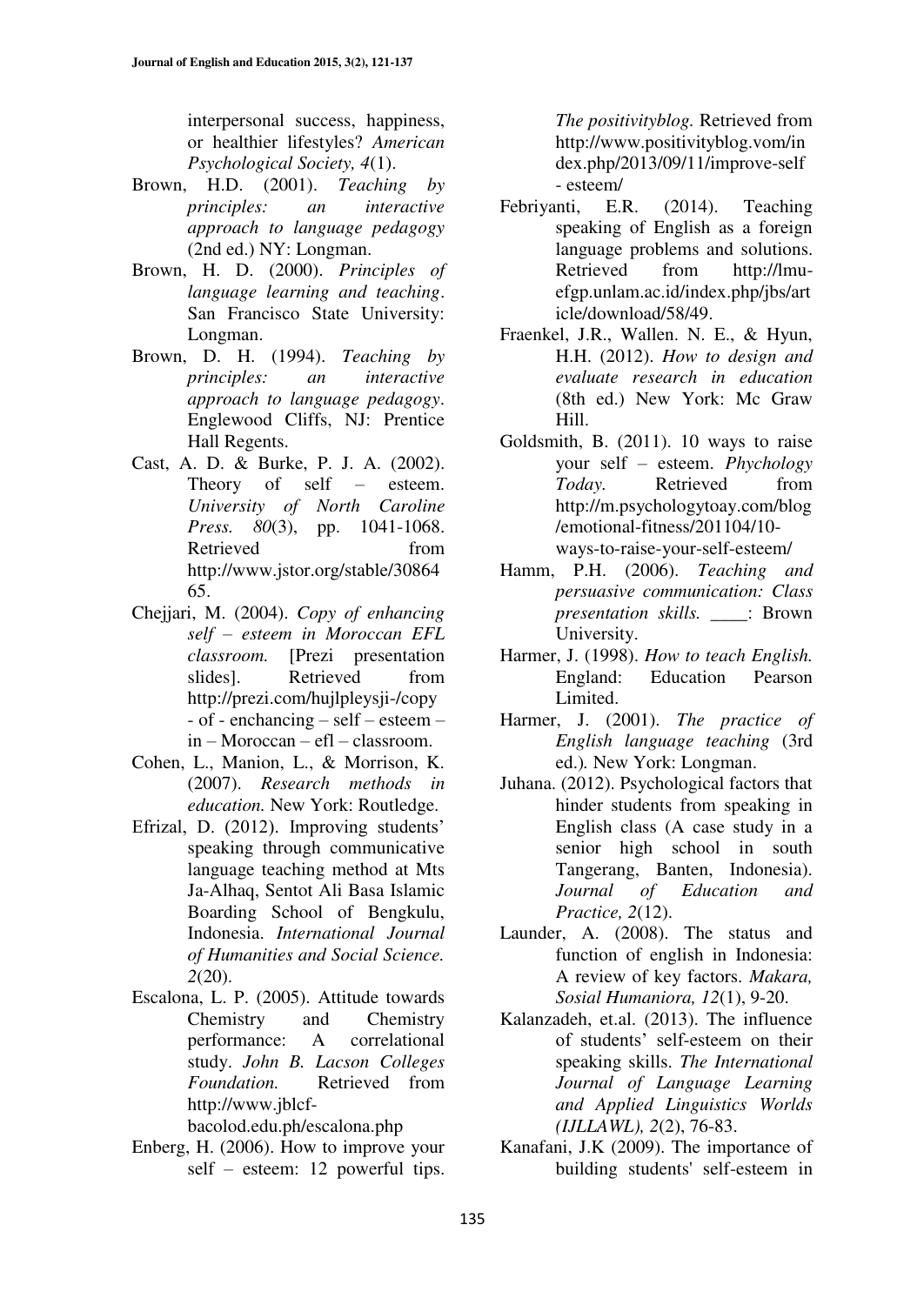interpersonal success, happiness, or healthier lifestyles? *American Psychological Society, 4*(1).

- Brown, H.D. (2001). *Teaching by principles: an interactive approach to language pedagogy* (2nd ed.) NY: Longman.
- Brown, H. D. (2000). *Principles of language learning and teaching*. San Francisco State University: Longman.
- Brown, D. H. (1994). *Teaching by principles: an interactive approach to language pedagogy*. Englewood Cliffs, NJ: Prentice Hall Regents.
- Cast, A. D. & Burke, P. J. A. (2002). Theory of self  $-$  esteem. *University of North Caroline Press. 80*(3), pp. 1041-1068. Retrieved from http://www.jstor.org/stable/30864 65.
- Chejjari, M. (2004). *Copy of enhancing self ± esteem in Moroccan EFL classroom.* [Prezi presentation slides]. Retrieved from http://prezi.com/hujlpleysji-/copy  $-$  of  $-$  enchancing  $-$  self  $-$  esteem  $$  $in - Moreoveran - eff - classroom.$
- Cohen, L., Manion, L., & Morrison, K. (2007). *Research methods in education.* New York: Routledge.
- Efrizal, D.  $(2012)$ . Improving students' speaking through communicative language teaching method at Mts Ja-Alhaq, Sentot Ali Basa Islamic Boarding School of Bengkulu, Indonesia. *International Journal of Humanities and Social Science. 2*(20).
- Escalona, L. P. (2005). Attitude towards Chemistry and Chemistry performance: A correlational study. *John B. Lacson Colleges Foundation.* Retrieved from http://www.jblcf-

bacolod.edu.ph/escalona.php

Enberg, H. (2006). How to improve your self  $-$  esteem: 12 powerful tips.

*The positivityblog.* Retrieved from http://www.positivityblog.vom/in dex.php/2013/09/11/improve-self - esteem/

- Febriyanti, E.R. (2014). Teaching speaking of English as a foreign language problems and solutions. Retrieved from http://lmuefgp.unlam.ac.id/index.php/jbs/art icle/download/58/49.
- Fraenkel, J.R., Wallen. N. E., & Hyun, H.H. (2012). *How to design and evaluate research in education*  (8th ed.) New York: Mc Graw Hill.
- Goldsmith, B. (2011). 10 ways to raise your self ± esteem. *Phychology Today.* Retrieved from http://m.psychologytoay.com/blog /emotional-fitness/201104/10 ways-to-raise-your-self-esteem/
- Hamm, P.H. (2006). *Teaching and persuasive communication: Class presentation skills.* \_\_\_\_: Brown University.
- Harmer, J. (1998). *How to teach English.*  England: Education Pearson Limited.
- Harmer, J. (2001). *The practice of English language teaching* (3rd ed.)*.* New York: Longman.
- Juhana. (2012). Psychological factors that hinder students from speaking in English class (A case study in a senior high school in south Tangerang, Banten, Indonesia). *Journal of Education and Practice, 2*(12).
- Launder, A. (2008). The status and function of english in Indonesia: A review of key factors. *Makara, Sosial Humaniora, 12*(1), 9-20.
- Kalanzadeh, et.al. (2013). The influence of students' self-esteem on their speaking skills. *The International Journal of Language Learning and Applied Linguistics Worlds (IJLLAWL), 2*(2), 76-83.
- Kanafani, J.K (2009). The importance of building students' self-esteem in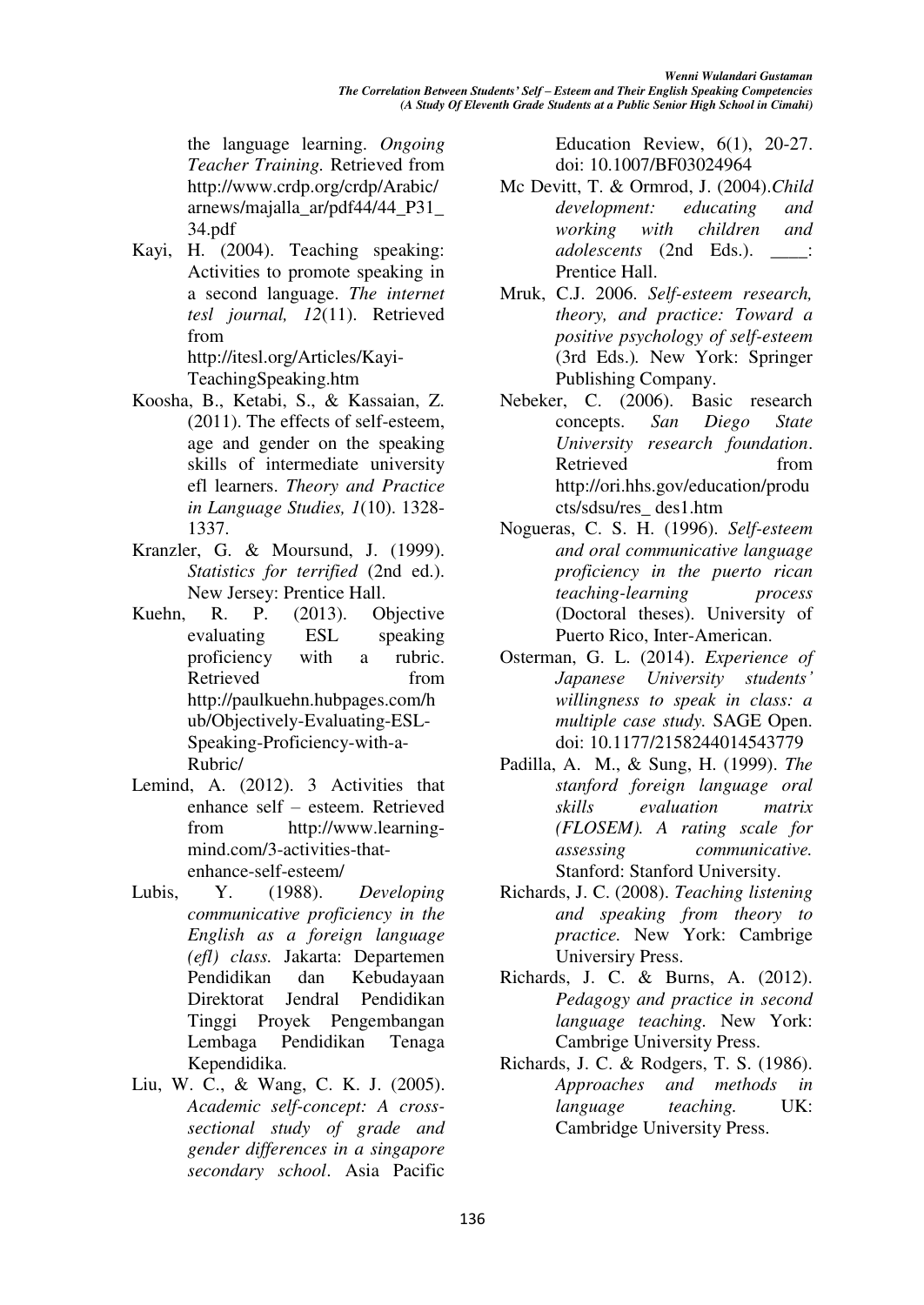the language learning. *Ongoing Teacher Training.* Retrieved from http://www.crdp.org/crdp/Arabic/ arnews/majalla\_ar/pdf44/44\_P31\_ 34.pdf

Kayi, H. (2004). Teaching speaking: Activities to promote speaking in a second language. *The internet tesl journal, 12*(11). Retrieved from

http://itesl.org/Articles/Kayi-TeachingSpeaking.htm

- Koosha, B., Ketabi, S., & Kassaian, Z. (2011). The effects of self-esteem, age and gender on the speaking skills of intermediate university efl learners. *Theory and Practice in Language Studies, 1*(10). 1328- 1337.
- Kranzler, G. & Moursund, J. (1999). *Statistics for terrified* (2nd ed.). New Jersey: Prentice Hall.
- Kuehn, R. P. (2013). Objective evaluating ESL speaking proficiency with a rubric. Retrieved from http://paulkuehn.hubpages.com/h ub/Objectively-Evaluating-ESL-Speaking-Proficiency-with-a-Rubric/
- Lemind, A. (2012). 3 Activities that enhance self – esteem. Retrieved from http://www.learningmind.com/3-activities-thatenhance-self-esteem/
- Lubis, Y. (1988). *Developing communicative proficiency in the English as a foreign language (efl) class.* Jakarta: Departemen Pendidikan dan Kebudayaan Direktorat Jendral Pendidikan Tinggi Proyek Pengembangan Lembaga Pendidikan Tenaga Kependidika.
- Liu, W. C., & Wang, C. K. J. (2005). *Academic self-concept: A crosssectional study of grade and gender differences in a singapore secondary school*. Asia Pacific

Education Review, 6(1), 20-27. doi: 10.1007/BF03024964

- Mc Devitt, T. & Ormrod, J. (2004).*Child development: educating and working with children and adolescents* (2nd Eds.). \_\_\_\_: Prentice Hall.
- Mruk, C.J. 2006. *Self-esteem research, theory, and practice: Toward a positive psychology of self-esteem*  (3rd Eds.)*.* New York: Springer Publishing Company.
- Nebeker, C. (2006). Basic research concepts. *San Diego State University research foundation*. Retrieved from http://ori.hhs.gov/education/produ cts/sdsu/res\_ des1.htm
- Nogueras, C. S. H. (1996). *Self-esteem and oral communicative language proficiency in the puerto rican teaching-learning process* (Doctoral theses). University of Puerto Rico, Inter-American.
- Osterman, G. L. (2014). *Experience of Japanese University students' willingness to speak in class: a multiple case study.* SAGE Open. doi: 10.1177/2158244014543779
- Padilla, A. M., & Sung, H. (1999). *The stanford foreign language oral skills evaluation matrix (FLOSEM). A rating scale for assessing communicative.* Stanford: Stanford University.
- Richards, J. C. (2008). *Teaching listening and speaking from theory to practice.* New York: Cambrige Universiry Press.
- Richards, J. C. & Burns, A. (2012). *Pedagogy and practice in second language teaching.* New York: Cambrige University Press.
- Richards, J. C. & Rodgers, T. S. (1986). *Approaches and methods in language teaching.* UK: Cambridge University Press.